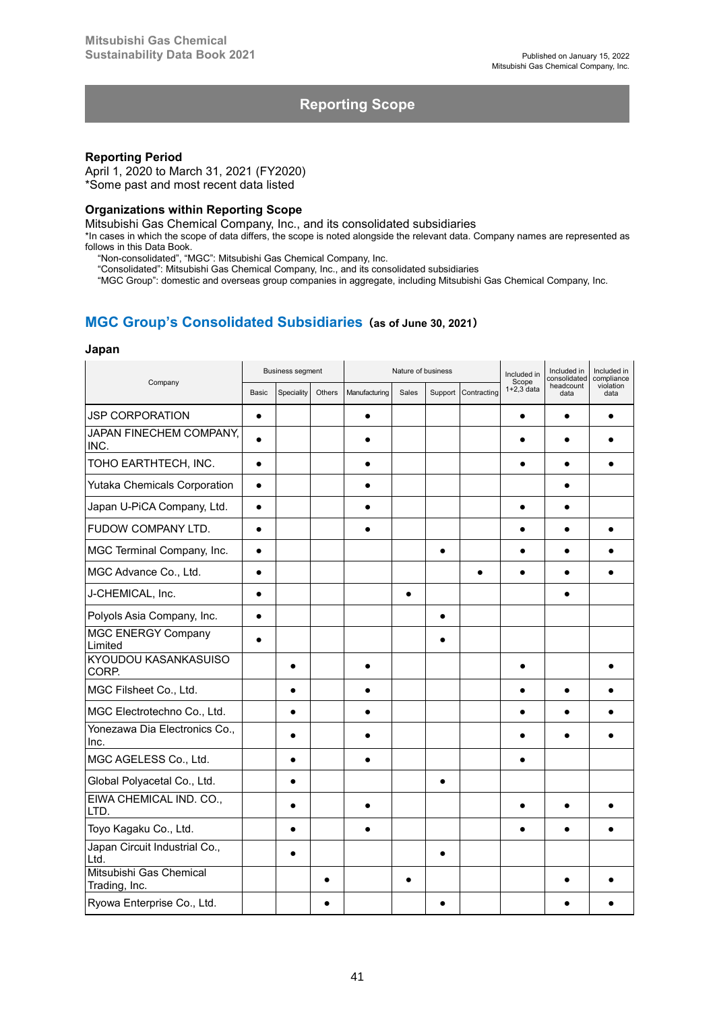# **Reporting Scope**

### **Reporting Period**

April 1, 2020 to March 31, 2021 (FY2020) \*Some past and most recent data listed

### **Organizations within Reporting Scope**

Mitsubishi Gas Chemical Company, Inc., and its consolidated subsidiaries

\*In cases in which the scope of data differs, the scope is noted alongside the relevant data. Company names are represented as follows in this Data Book.

"Non-consolidated", "MGC": Mitsubishi Gas Chemical Company, Inc.

"Consolidated": Mitsubishi Gas Chemical Company, Inc., and its consolidated subsidiaries

"MGC Group": domestic and overseas group companies in aggregate, including Mitsubishi Gas Chemical Company, Inc.

# **MGC Group's Consolidated Subsidiaries(as of June 30, 2021)**

#### **Japan**

| Company                                  | <b>Business segment</b> |            |        | Nature of business |           |           |             | Included in<br>Scope | Included in<br>consolidated | Included in<br>compliance |
|------------------------------------------|-------------------------|------------|--------|--------------------|-----------|-----------|-------------|----------------------|-----------------------------|---------------------------|
|                                          | <b>Basic</b>            | Speciality | Others | Manufacturing      | Sales     | Support   | Contracting | $1+2.3$ data         | headcount<br>data           | violation<br>data         |
| <b>JSP CORPORATION</b>                   | $\bullet$               |            |        | $\bullet$          |           |           |             | $\bullet$            | $\bullet$                   | $\bullet$                 |
| JAPAN FINECHEM COMPANY,<br>INC.          | $\bullet$               |            |        |                    |           |           |             |                      |                             |                           |
| TOHO EARTHTECH, INC.                     |                         |            |        |                    |           |           |             |                      |                             |                           |
| <b>Yutaka Chemicals Corporation</b>      |                         |            |        |                    |           |           |             |                      |                             |                           |
| Japan U-PiCA Company, Ltd.               |                         |            |        |                    |           |           |             |                      |                             |                           |
| FUDOW COMPANY LTD.                       | $\bullet$               |            |        |                    |           |           |             |                      |                             |                           |
| MGC Terminal Company, Inc.               | $\bullet$               |            |        |                    |           | $\bullet$ |             |                      | $\bullet$                   |                           |
| MGC Advance Co., Ltd.                    | $\bullet$               |            |        |                    |           |           |             | $\bullet$            | $\bullet$                   |                           |
| J-CHEMICAL, Inc.                         | $\bullet$               |            |        |                    | $\bullet$ |           |             |                      | $\bullet$                   |                           |
| Polyols Asia Company, Inc.               | $\bullet$               |            |        |                    |           | $\bullet$ |             |                      |                             |                           |
| <b>MGC ENERGY Company</b><br>Limited     |                         |            |        |                    |           |           |             |                      |                             |                           |
| KYOUDOU KASANKASUISO<br>CORP.            |                         |            |        |                    |           |           |             |                      |                             |                           |
| MGC Filsheet Co., Ltd.                   |                         | $\bullet$  |        |                    |           |           |             |                      | $\bullet$                   |                           |
| MGC Electrotechno Co., Ltd.              |                         |            |        |                    |           |           |             |                      |                             |                           |
| Yonezawa Dia Electronics Co.,<br>Inc.    |                         |            |        |                    |           |           |             |                      |                             |                           |
| MGC AGELESS Co., Ltd.                    |                         |            |        |                    |           |           |             |                      |                             |                           |
| Global Polyacetal Co., Ltd.              |                         |            |        |                    |           |           |             |                      |                             |                           |
| EIWA CHEMICAL IND. CO.,<br>LTD.          |                         |            |        |                    |           |           |             |                      |                             |                           |
| Toyo Kagaku Co., Ltd.                    |                         |            |        |                    |           |           |             |                      |                             |                           |
| Japan Circuit Industrial Co.,<br>Ltd.    |                         |            |        |                    |           |           |             |                      |                             |                           |
| Mitsubishi Gas Chemical<br>Trading, Inc. |                         |            |        |                    |           |           |             |                      |                             |                           |
| Ryowa Enterprise Co., Ltd.               |                         |            |        |                    |           |           |             |                      |                             |                           |